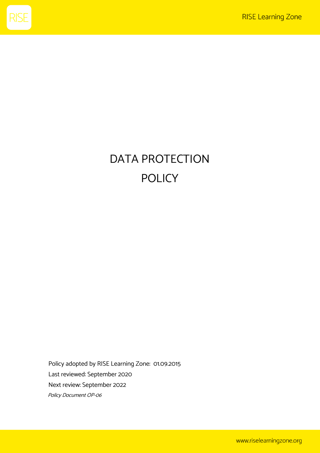

# DATA PROTECTION POLICY

Policy adopted by RISE Learning Zone: 01.09.2015 Last reviewed: September 2020 Next review: September 2022 Policy Document OP-06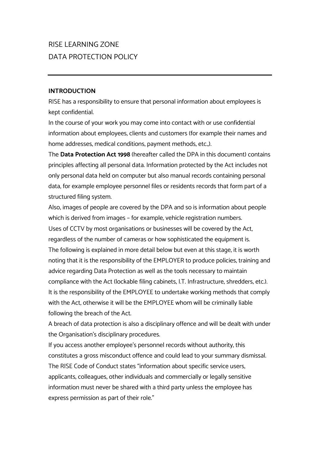# RISE LEARNING ZONE DATA PROTECTION POLICY

#### **INTRODUCTION**

RISE has a responsibility to ensure that personal information about employees is kept confidential.

In the course of your work you may come into contact with or use confidential information about employees, clients and customers (for example their names and home addresses, medical conditions, payment methods, etc.,).

The **Data Protection Act 1998** (hereafter called the DPA in this document) contains principles affecting all personal data. Information protected by the Act includes not only personal data held on computer but also manual records containing personal data, for example employee personnel files or residents records that form part of a structured filing system.

Also, images of people are covered by the DPA and so is information about people which is derived from images – for example, vehicle registration numbers. Uses of CCTV by most organisations or businesses will be covered by the Act, regardless of the number of cameras or how sophisticated the equipment is. The following is explained in more detail below but even at this stage, it is worth noting that it is the responsibility of the EMPLOYER to produce policies, training and advice regarding Data Protection as well as the tools necessary to maintain compliance with the Act (lockable filing cabinets, I.T. Infrastructure, shredders, etc.). It is the responsibility of the EMPLOYEE to undertake working methods that comply with the Act, otherwise it will be the EMPLOYEE whom will be criminally liable following the breach of the Act.

A breach of data protection is also a disciplinary offence and will be dealt with under the Organisation's disciplinary procedures.

If you access another employee's personnel records without authority, this constitutes a gross misconduct offence and could lead to your summary dismissal. The RISE Code of Conduct states "information about specific service users, applicants, colleagues, other individuals and commercially or legally sensitive information must never be shared with a third party unless the employee has express permission as part of their role."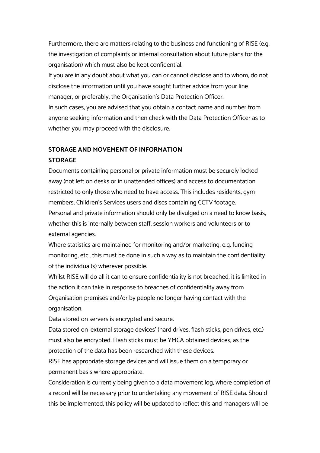Furthermore, there are matters relating to the business and functioning of RISE (e.g. the investigation of complaints or internal consultation about future plans for the organisation) which must also be kept confidential.

If you are in any doubt about what you can or cannot disclose and to whom, do not disclose the information until you have sought further advice from your line manager, or preferably, the Organisation's Data Protection Officer. In such cases, you are advised that you obtain a contact name and number from anyone seeking information and then check with the Data Protection Officer as to whether you may proceed with the disclosure.

# **STORAGE AND MOVEMENT OF INFORMATION**

# **STORAGE**

Documents containing personal or private information must be securely locked away (not left on desks or in unattended offices) and access to documentation restricted to only those who need to have access. This includes residents, gym members, Children's Services users and discs containing CCTV footage. Personal and private information should only be divulged on a need to know basis, whether this is internally between staff, session workers and volunteers or to external agencies.

Where statistics are maintained for monitoring and/or marketing, e.g. funding monitoring, etc., this must be done in such a way as to maintain the confidentiality of the individual(s) wherever possible.

Whilst RISE will do all it can to ensure confidentiality is not breached, it is limited in the action it can take in response to breaches of confidentiality away from Organisation premises and/or by people no longer having contact with the organisation.

Data stored on servers is encrypted and secure.

Data stored on 'external storage devices' (hard drives, flash sticks, pen drives, etc.) must also be encrypted. Flash sticks must be YMCA obtained devices, as the protection of the data has been researched with these devices.

RISE has appropriate storage devices and will issue them on a temporary or permanent basis where appropriate.

Consideration is currently being given to a data movement log, where completion of a record will be necessary prior to undertaking any movement of RISE data. Should this be implemented, this policy will be updated to reflect this and managers will be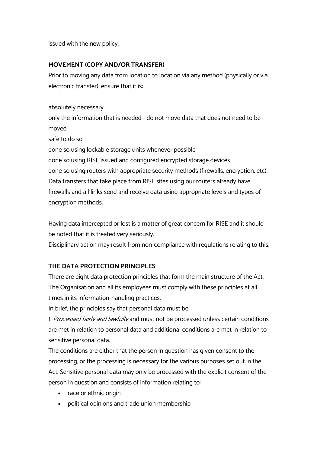issued with the new policy.

# **MOVEMENT (COPY AND/OR TRANSFER)**

Prior to moving any data from location to location via any method (physically or via electronic transfer), ensure that it is:

absolutely necessary

only the information that is needed - do not move data that does not need to be moved

safe to do so

done so using lockable storage units whenever possible

done so using RISE issued and configured encrypted storage devices done so using routers with appropriate security methods (firewalls, encryption, etc). Data transfers that take place from RISE sites using our routers already have firewalls and all links send and receive data using appropriate levels and types of encryption methods.

Having data intercepted or lost is a matter of great concern for RISE and it should be noted that it is treated very seriously.

Disciplinary action may result from non-compliance with regulations relating to this.

# **THE DATA PROTECTION PRINCIPLES**

There are eight data protection principles that form the main structure of the Act. The Organisation and all its employees must comply with these principles at all times in its information-handling practices.

In brief, the principles say that personal data must be:

1. Processed fairly and lawfully and must not be processed unless certain conditions are met in relation to personal data and additional conditions are met in relation to sensitive personal data.

The conditions are either that the person in question has given consent to the processing, or the processing is necessary for the various purposes set out in the Act. Sensitive personal data may only be processed with the explicit consent of the person in question and consists of information relating to:

- race or ethnic origin
- political opinions and trade union membership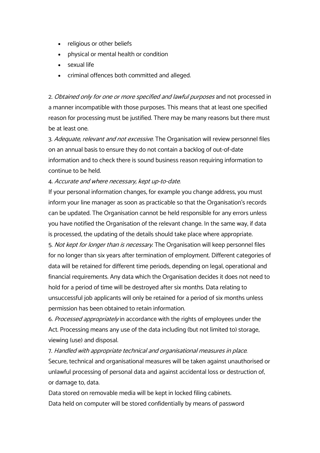- religious or other beliefs
- physical or mental health or condition
- sexual life
- criminal offences both committed and alleged.

2. Obtained only for one or more specified and lawful purposes and not processed in a manner incompatible with those purposes. This means that at least one specified reason for processing must be justified. There may be many reasons but there must be at least one.

3. Adequate, relevant and not excessive. The Organisation will review personnel files on an annual basis to ensure they do not contain a backlog of out-of-date information and to check there is sound business reason requiring information to continue to be held.

4. Accurate and where necessary, kept up-to-date.

If your personal information changes, for example you change address, you must inform your line manager as soon as practicable so that the Organisation's records can be updated. The Organisation cannot be held responsible for any errors unless you have notified the Organisation of the relevant change. In the same way, if data is processed, the updating of the details should take place where appropriate.

5. Not kept for longer than is necessary. The Organisation will keep personnel files for no longer than six years after termination of employment. Different categories of data will be retained for different time periods, depending on legal, operational and financial requirements. Any data which the Organisation decides it does not need to hold for a period of time will be destroyed after six months. Data relating to unsuccessful job applicants will only be retained for a period of six months unless permission has been obtained to retain information.

6. Processed appropriately in accordance with the rights of employees under the Act. Processing means any use of the data including (but not limited to) storage, viewing (use) and disposal.

7. Handled with appropriate technical and organisational measures in place. Secure, technical and organisational measures will be taken against unauthorised or unlawful processing of personal data and against accidental loss or destruction of, or damage to, data.

Data stored on removable media will be kept in locked filing cabinets. Data held on computer will be stored confidentially by means of password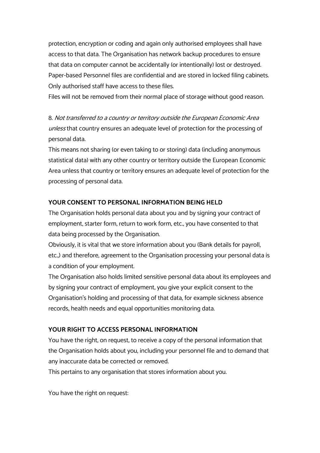protection, encryption or coding and again only authorised employees shall have access to that data. The Organisation has network backup procedures to ensure that data on computer cannot be accidentally (or intentionally) lost or destroyed. Paper-based Personnel files are confidential and are stored in locked filing cabinets. Only authorised staff have access to these files.

Files will not be removed from their normal place of storage without good reason.

8. Not transferred to a country or territory outside the European Economic Area unless that country ensures an adequate level of protection for the processing of personal data.

This means not sharing (or even taking to or storing) data (including anonymous statistical data) with any other country or territory outside the European Economic Area unless that country or territory ensures an adequate level of protection for the processing of personal data.

# **YOUR CONSENT TO PERSONAL INFORMATION BEING HELD**

The Organisation holds personal data about you and by signing your contract of employment, starter form, return to work form, etc., you have consented to that data being processed by the Organisation.

Obviously, it is vital that we store information about you (Bank details for payroll, etc.,) and therefore, agreement to the Organisation processing your personal data is a condition of your employment.

The Organisation also holds limited sensitive personal data about its employees and by signing your contract of employment, you give your explicit consent to the Organisation's holding and processing of that data, for example sickness absence records, health needs and equal opportunities monitoring data.

# **YOUR RIGHT TO ACCESS PERSONAL INFORMATION**

You have the right, on request, to receive a copy of the personal information that the Organisation holds about you, including your personnel file and to demand that any inaccurate data be corrected or removed.

This pertains to any organisation that stores information about you.

You have the right on request: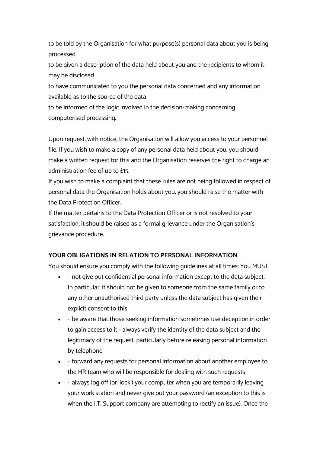to be told by the Organisation for what purpose(s) personal data about you is being processed

to be given a description of the data held about you and the recipients to whom it may be disclosed

to have communicated to you the personal data concerned and any information available as to the source of the data

to be informed of the logic involved in the decision-making concerning computerised processing.

Upon request, with notice, the Organisation will allow you access to your personnel file. If you wish to make a copy of any personal data held about you, you should make a written request for this and the Organisation reserves the right to charge an administration fee of up to £15.

If you wish to make a complaint that these rules are not being followed in respect of personal data the Organisation holds about you, you should raise the matter with the Data Protection Officer.

If the matter pertains to the Data Protection Officer or is not resolved to your satisfaction, it should be raised as a formal grievance under the Organisation's grievance procedure.

# **YOUR OBLIGATIONS IN RELATION TO PERSONAL INFORMATION**

You should ensure you comply with the following guidelines at all times: You MUST

- $\bullet$   $\cdot$  not give out confidential personal information except to the data subject. In particular, it should not be given to someone from the same family or to any other unauthorised third party unless the data subject has given their explicit consent to this
- $\bullet$   $\cdot$  be aware that those seeking information sometimes use deception in order to gain access to it - always verify the identity of the data subject and the legitimacy of the request, particularly before releasing personal information by telephone
- · forward any requests for personal information about another employee to the HR team who will be responsible for dealing with such requests
- $\bullet$   $\cdot$  always log off (or 'lock') your computer when you are temporarily leaving your work station and never give out your password (an exception to this is when the I.T. Support company are attempting to rectify an issue). Once the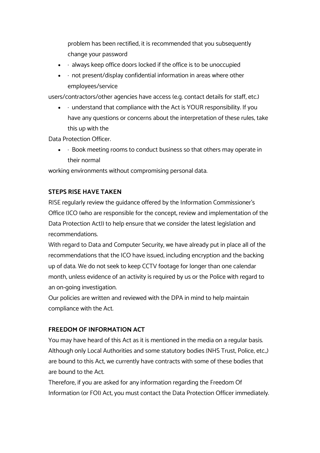problem has been rectified, it is recommended that you subsequently change your password

- $\bullet$   $\cdot$  always keep office doors locked if the office is to be unoccupied
- $\bullet$   $\cdot$  not present/display confidential information in areas where other employees/service

users/contractors/other agencies have access (e.g. contact details for staff, etc.)

 $\bullet$   $\cdot$  understand that compliance with the Act is YOUR responsibility. If you have any questions or concerns about the interpretation of these rules, take this up with the

Data Protection Officer.

 $\bullet$   $\cdot$  Book meeting rooms to conduct business so that others may operate in their normal

working environments without compromising personal data.

#### **STEPS RISE HAVE TAKEN**

RISE regularly review the guidance offered by the Information Commissioner's Office (ICO (who are responsible for the concept, review and implementation of the Data Protection Act)) to help ensure that we consider the latest legislation and recommendations.

With regard to Data and Computer Security, we have already put in place all of the recommendations that the ICO have issued, including encryption and the backing up of data. We do not seek to keep CCTV footage for longer than one calendar month, unless evidence of an activity is required by us or the Police with regard to an on-going investigation.

Our policies are written and reviewed with the DPA in mind to help maintain compliance with the Act.

# **FREEDOM OF INFORMATION ACT**

You may have heard of this Act as it is mentioned in the media on a regular basis. Although only Local Authorities and some statutory bodies (NHS Trust, Police, etc.,) are bound to this Act, we currently have contracts with some of these bodies that are bound to the Act.

Therefore, if you are asked for any information regarding the Freedom Of Information (or FOI) Act, you must contact the Data Protection Officer immediately.